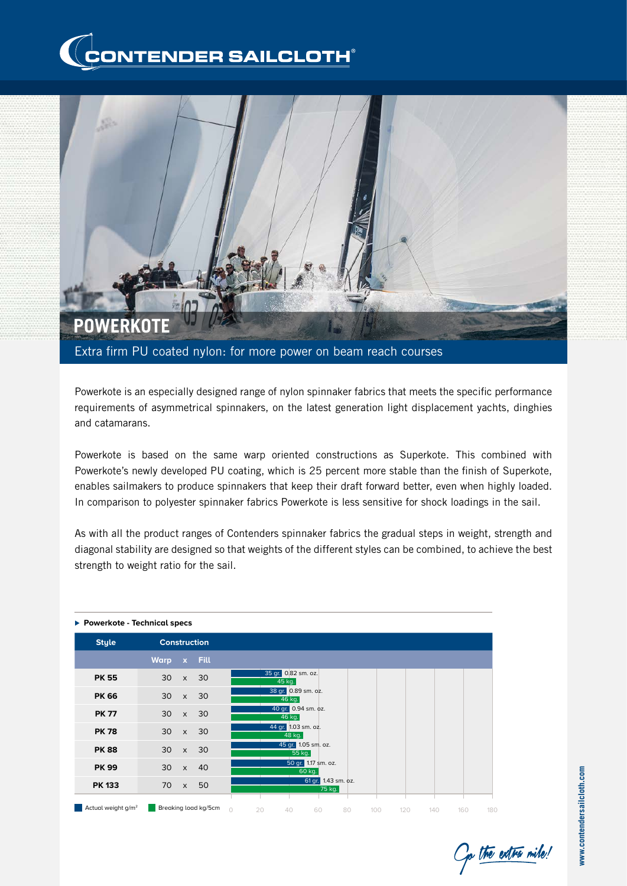



Powerkote is an especially designed range of nylon spinnaker fabrics that meets the specific performance requirements of asymmetrical spinnakers, on the latest generation light displacement yachts, dinghies and catamarans.

Powerkote is based on the same warp oriented constructions as Superkote. This combined with Powerkote's newly developed PU coating, which is 25 percent more stable than the finish of Superkote, enables sailmakers to produce spinnakers that keep their draft forward better, even when highly loaded. In comparison to polyester spinnaker fabrics Powerkote is less sensitive for shock loadings in the sail.

As with all the product ranges of Contenders spinnaker fabrics the gradual steps in weight, strength and diagonal stability are designed so that weights of the different styles can be combined, to achieve the best strength to weight ratio for the sail.

| ▶ Powerkote - Technical specs  |                     |              |                      |                                                                      |  |  |  |  |  |  |  |
|--------------------------------|---------------------|--------------|----------------------|----------------------------------------------------------------------|--|--|--|--|--|--|--|
| <b>Style</b>                   | <b>Construction</b> |              |                      |                                                                      |  |  |  |  |  |  |  |
|                                | <b>Warp</b>         | $\mathbf{x}$ | <b>Fill</b>          |                                                                      |  |  |  |  |  |  |  |
| <b>PK 55</b>                   | 30                  | $\mathsf{x}$ | 30                   | 35 gr. 0.82 sm. oz.<br>45 kg.                                        |  |  |  |  |  |  |  |
| <b>PK 66</b>                   | 30                  | $\times$     | 30                   | 38 gr. 0.89 sm. oz.<br>46 kg.                                        |  |  |  |  |  |  |  |
| <b>PK 77</b>                   | 30                  | $\times$     | 30                   | 40 gr. 0.94 sm. oz.<br>46 kg.                                        |  |  |  |  |  |  |  |
| <b>PK 78</b>                   | 30                  | $\mathsf{x}$ | 30                   | 44 gr. 1.03 sm. oz.<br>48 kg.                                        |  |  |  |  |  |  |  |
| <b>PK88</b>                    | 30                  | $\times$     | 30                   | 45 gr. 1.05 sm. oz.<br>55 kg.                                        |  |  |  |  |  |  |  |
| <b>PK 99</b>                   | 30                  | $\times$     | 40                   | 50 gr. 1.17 sm. oz.<br>60 kg.                                        |  |  |  |  |  |  |  |
| <b>PK 133</b>                  | 70                  | $\mathsf{x}$ | 50                   | 61 gr. 1.43 sm. oz.<br>75 kg.                                        |  |  |  |  |  |  |  |
| Actual weight g/m <sup>2</sup> |                     |              | Breaking load kg/5cm | $\bigcap$<br>20<br>40<br>120<br>140<br>60<br>80<br>100<br>160<br>180 |  |  |  |  |  |  |  |

To the extra mile!